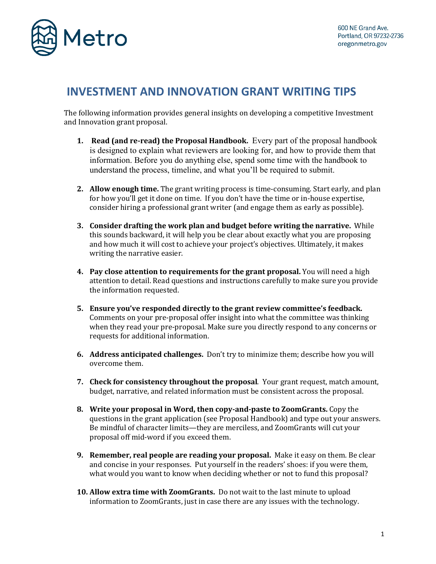

## **INVESTMENT AND INNOVATION GRANT WRITING TIPS**

The following information provides general insights on developing a competitive Investment and Innovation grant proposal.

- **1. Read (and re-read) the Proposal Handbook.** Every part of the proposal handbook is designed to explain what reviewers are looking for, and how to provide them that information. Before you do anything else, spend some time with the handbook to understand the process, timeline, and what you'll be required to submit.
- **2. Allow enough time.** The grant writing process is time-consuming. Start early, and plan for how you'll get it done on time. If you don't have the time or in-house expertise, consider hiring a professional grant writer (and engage them as early as possible).
- **3. Consider drafting the work plan and budget before writing the narrative.** While this sounds backward, it will help you be clear about exactly what you are proposing and how much it will cost to achieve your project's objectives. Ultimately, it makes writing the narrative easier.
- **4. Pay close attention to requirements for the grant proposal.** You will need a high attention to detail. Read questions and instructions carefully to make sure you provide the information requested.
- **5. Ensure you've responded directly to the grant review committee's feedback.**  Comments on your pre-proposal offer insight into what the committee was thinking when they read your pre-proposal. Make sure you directly respond to any concerns or requests for additional information.
- **6. Address anticipated challenges.** Don't try to minimize them; describe how you will overcome them.
- **7. Check for consistency throughout the proposal**. Your grant request, match amount, budget, narrative, and related information must be consistent across the proposal.
- **8. Write your proposal in Word, then copy-and-paste to ZoomGrants.** Copy the questions in the grant application (see Proposal Handbook) and type out your answers. Be mindful of character limits—they are merciless, and ZoomGrants will cut your proposal off mid-word if you exceed them.
- **9. Remember, real people are reading your proposal.** Make it easy on them. Be clear and concise in your responses. Put yourself in the readers' shoes: if you were them, what would you want to know when deciding whether or not to fund this proposal?
- **10. Allow extra time with ZoomGrants.** Do not wait to the last minute to upload information to ZoomGrants, just in case there are any issues with the technology.